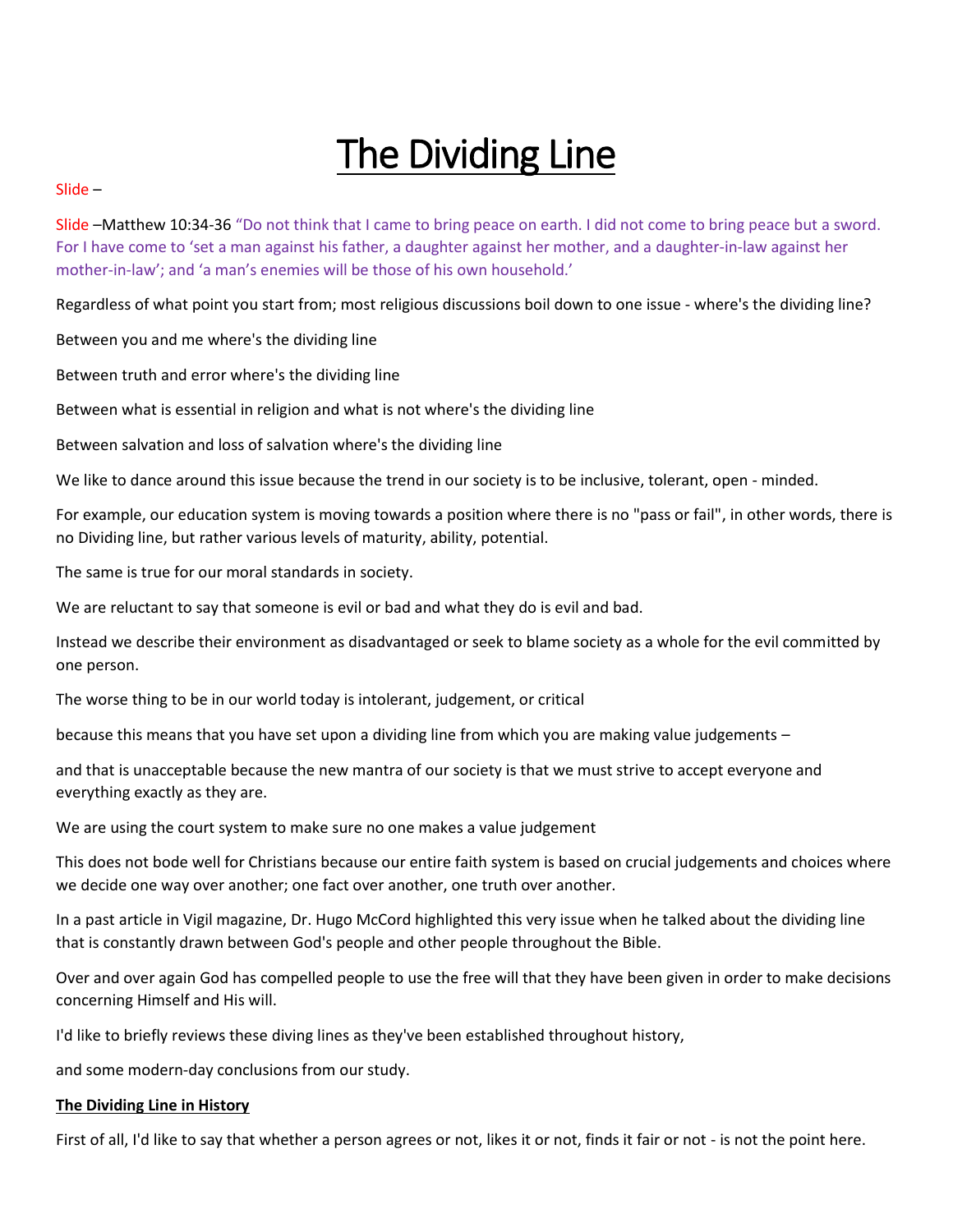# The Dividing Line

#### Slide –

Slide –Matthew 10:34-36 "Do not think that I came to bring peace on earth. I did not come to bring peace but a sword. For I have come to 'set a man against his father, a daughter against her mother, and a daughter-in-law against her mother-in-law'; and 'a man's enemies will be those of his own household.'

Regardless of what point you start from; most religious discussions boil down to one issue - where's the dividing line?

Between you and me where's the dividing line

Between truth and error where's the dividing line

Between what is essential in religion and what is not where's the dividing line

Between salvation and loss of salvation where's the dividing line

We like to dance around this issue because the trend in our society is to be inclusive, tolerant, open - minded.

For example, our education system is moving towards a position where there is no "pass or fail", in other words, there is no Dividing line, but rather various levels of maturity, ability, potential.

The same is true for our moral standards in society.

We are reluctant to say that someone is evil or bad and what they do is evil and bad.

Instead we describe their environment as disadvantaged or seek to blame society as a whole for the evil committed by one person.

The worse thing to be in our world today is intolerant, judgement, or critical

because this means that you have set upon a dividing line from which you are making value judgements –

and that is unacceptable because the new mantra of our society is that we must strive to accept everyone and everything exactly as they are.

We are using the court system to make sure no one makes a value judgement

This does not bode well for Christians because our entire faith system is based on crucial judgements and choices where we decide one way over another; one fact over another, one truth over another.

In a past article in Vigil magazine, Dr. Hugo McCord highlighted this very issue when he talked about the dividing line that is constantly drawn between God's people and other people throughout the Bible.

Over and over again God has compelled people to use the free will that they have been given in order to make decisions concerning Himself and His will.

I'd like to briefly reviews these diving lines as they've been established throughout history,

and some modern-day conclusions from our study.

## **The Dividing Line in History**

First of all, I'd like to say that whether a person agrees or not, likes it or not, finds it fair or not - is not the point here.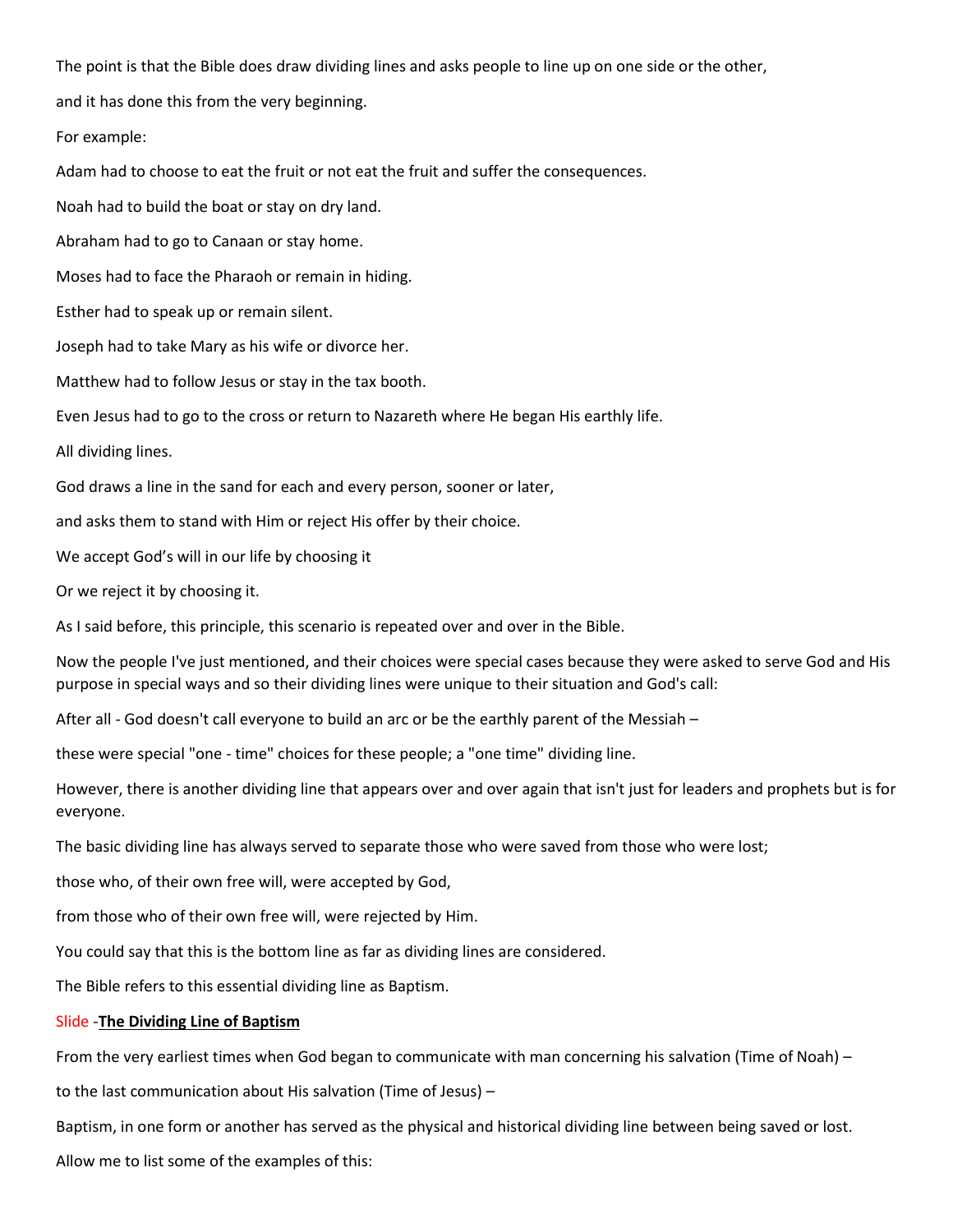The point is that the Bible does draw dividing lines and asks people to line up on one side or the other,

and it has done this from the very beginning.

For example:

Adam had to choose to eat the fruit or not eat the fruit and suffer the consequences.

Noah had to build the boat or stay on dry land.

Abraham had to go to Canaan or stay home.

Moses had to face the Pharaoh or remain in hiding.

Esther had to speak up or remain silent.

Joseph had to take Mary as his wife or divorce her.

Matthew had to follow Jesus or stay in the tax booth.

Even Jesus had to go to the cross or return to Nazareth where He began His earthly life.

All dividing lines.

God draws a line in the sand for each and every person, sooner or later,

and asks them to stand with Him or reject His offer by their choice.

We accept God's will in our life by choosing it

Or we reject it by choosing it.

As I said before, this principle, this scenario is repeated over and over in the Bible.

Now the people I've just mentioned, and their choices were special cases because they were asked to serve God and His purpose in special ways and so their dividing lines were unique to their situation and God's call:

After all - God doesn't call everyone to build an arc or be the earthly parent of the Messiah –

these were special "one - time" choices for these people; a "one time" dividing line.

However, there is another dividing line that appears over and over again that isn't just for leaders and prophets but is for everyone.

The basic dividing line has always served to separate those who were saved from those who were lost;

those who, of their own free will, were accepted by God,

from those who of their own free will, were rejected by Him.

You could say that this is the bottom line as far as dividing lines are considered.

The Bible refers to this essential dividing line as Baptism.

#### Slide -**The Dividing Line of Baptism**

From the very earliest times when God began to communicate with man concerning his salvation (Time of Noah) –

to the last communication about His salvation (Time of Jesus) –

Baptism, in one form or another has served as the physical and historical dividing line between being saved or lost.

Allow me to list some of the examples of this: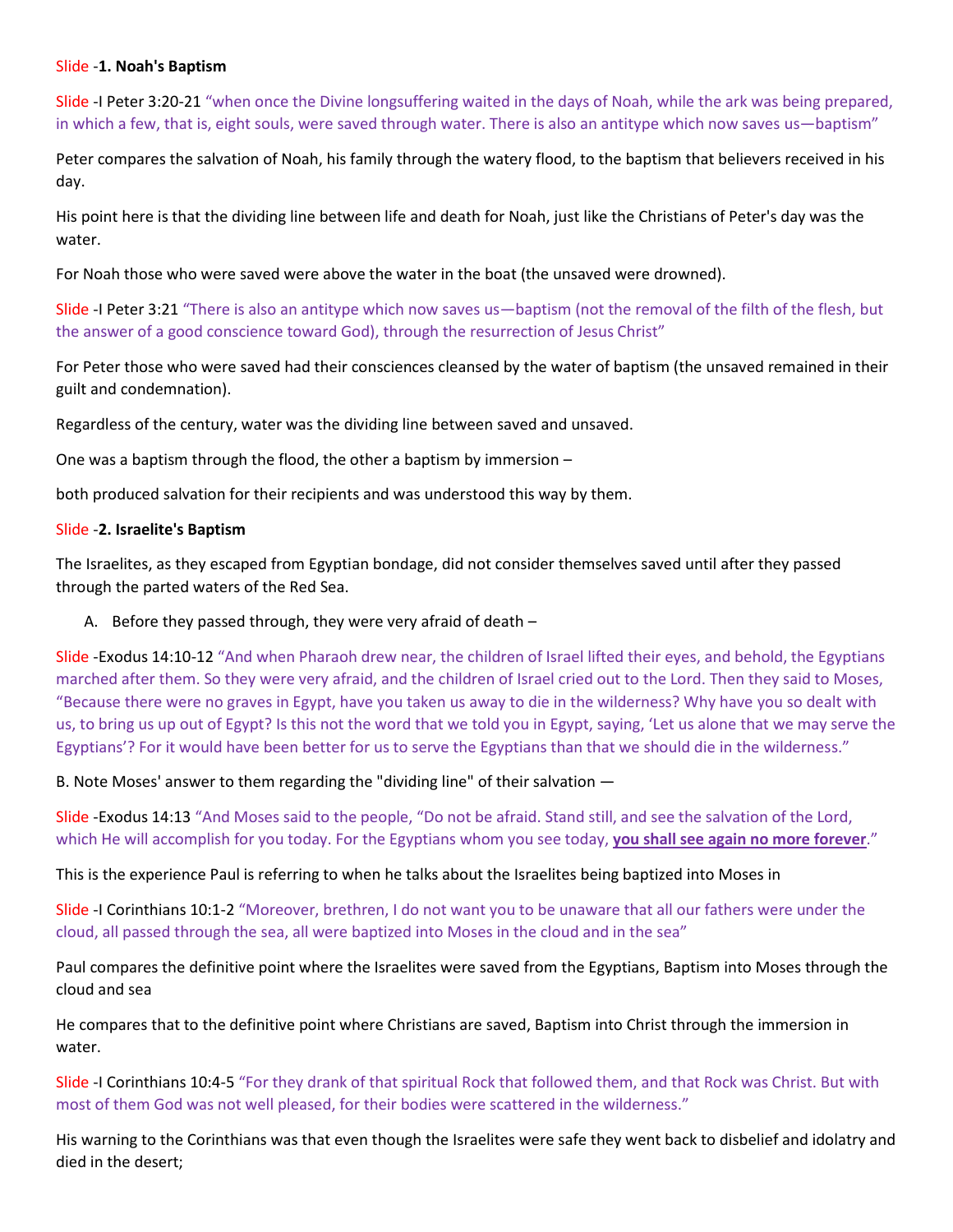#### Slide -**1. Noah's Baptism**

Slide -I Peter 3:20-21 "when once the Divine longsuffering waited in the days of Noah, while the ark was being prepared, in which a few, that is, eight souls, were saved through water. There is also an antitype which now saves us—baptism"

Peter compares the salvation of Noah, his family through the watery flood, to the baptism that believers received in his day.

His point here is that the dividing line between life and death for Noah, just like the Christians of Peter's day was the water.

For Noah those who were saved were above the water in the boat (the unsaved were drowned).

Slide -I Peter 3:21 "There is also an antitype which now saves us—baptism (not the removal of the filth of the flesh, but the answer of a good conscience toward God), through the resurrection of Jesus Christ"

For Peter those who were saved had their consciences cleansed by the water of baptism (the unsaved remained in their guilt and condemnation).

Regardless of the century, water was the dividing line between saved and unsaved.

One was a baptism through the flood, the other a baptism by immersion –

both produced salvation for their recipients and was understood this way by them.

### Slide -**2. Israelite's Baptism**

The Israelites, as they escaped from Egyptian bondage, did not consider themselves saved until after they passed through the parted waters of the Red Sea.

## A. Before they passed through, they were very afraid of death –

Slide -Exodus 14:10-12 "And when Pharaoh drew near, the children of Israel lifted their eyes, and behold, the Egyptians marched after them. So they were very afraid, and the children of Israel cried out to the Lord. Then they said to Moses, "Because there were no graves in Egypt, have you taken us away to die in the wilderness? Why have you so dealt with us, to bring us up out of Egypt? Is this not the word that we told you in Egypt, saying, 'Let us alone that we may serve the Egyptians'? For it would have been better for us to serve the Egyptians than that we should die in the wilderness."

B. Note Moses' answer to them regarding the "dividing line" of their salvation ―

Slide -Exodus 14:13 "And Moses said to the people, "Do not be afraid. Stand still, and see the salvation of the Lord, which He will accomplish for you today. For the Egyptians whom you see today, **you shall see again no more forever**."

This is the experience Paul is referring to when he talks about the Israelites being baptized into Moses in

Slide -I Corinthians 10:1-2 "Moreover, brethren, I do not want you to be unaware that all our fathers were under the cloud, all passed through the sea, all were baptized into Moses in the cloud and in the sea"

Paul compares the definitive point where the Israelites were saved from the Egyptians, Baptism into Moses through the cloud and sea

He compares that to the definitive point where Christians are saved, Baptism into Christ through the immersion in water.

Slide -I Corinthians 10:4-5 "For they drank of that spiritual Rock that followed them, and that Rock was Christ. But with most of them God was not well pleased, for their bodies were scattered in the wilderness."

His warning to the Corinthians was that even though the Israelites were safe they went back to disbelief and idolatry and died in the desert;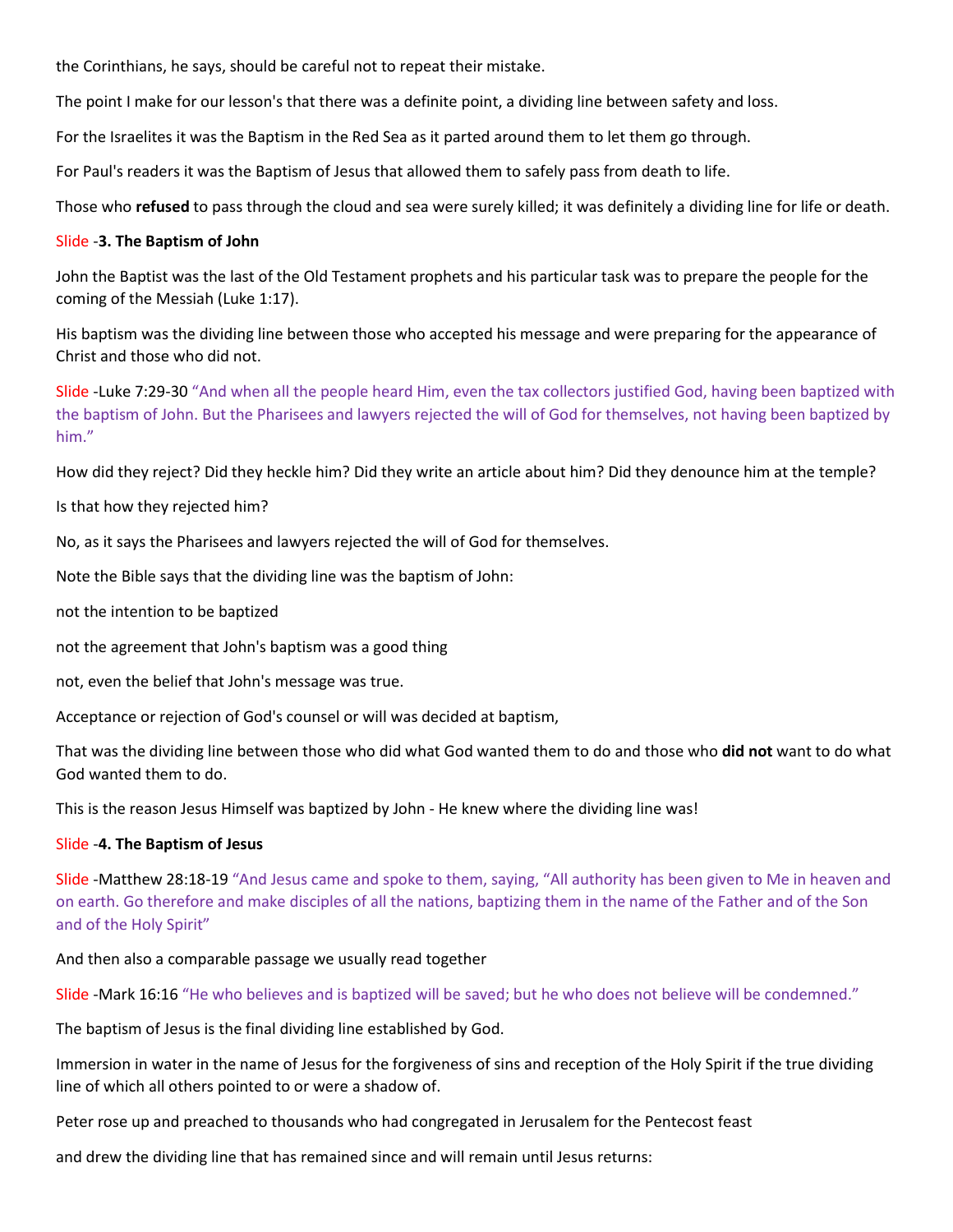the Corinthians, he says, should be careful not to repeat their mistake.

The point I make for our lesson's that there was a definite point, a dividing line between safety and loss.

For the Israelites it was the Baptism in the Red Sea as it parted around them to let them go through.

For Paul's readers it was the Baptism of Jesus that allowed them to safely pass from death to life.

Those who **refused** to pass through the cloud and sea were surely killed; it was definitely a dividing line for life or death.

#### Slide -**3. The Baptism of John**

John the Baptist was the last of the Old Testament prophets and his particular task was to prepare the people for the coming of the Messiah (Luke 1:17).

His baptism was the dividing line between those who accepted his message and were preparing for the appearance of Christ and those who did not.

Slide -Luke 7:29-30 "And when all the people heard Him, even the tax collectors justified God, having been baptized with the baptism of John. But the Pharisees and lawyers rejected the will of God for themselves, not having been baptized by him."

How did they reject? Did they heckle him? Did they write an article about him? Did they denounce him at the temple?

Is that how they rejected him?

No, as it says the Pharisees and lawyers rejected the will of God for themselves.

Note the Bible says that the dividing line was the baptism of John:

not the intention to be baptized

not the agreement that John's baptism was a good thing

not, even the belief that John's message was true.

Acceptance or rejection of God's counsel or will was decided at baptism,

That was the dividing line between those who did what God wanted them to do and those who **did not** want to do what God wanted them to do.

This is the reason Jesus Himself was baptized by John - He knew where the dividing line was!

#### Slide -**4. The Baptism of Jesus**

Slide -Matthew 28:18-19 "And Jesus came and spoke to them, saying, "All authority has been given to Me in heaven and on earth. Go therefore and make disciples of all the nations, baptizing them in the name of the Father and of the Son and of the Holy Spirit"

And then also a comparable passage we usually read together

Slide -Mark 16:16 "He who believes and is baptized will be saved; but he who does not believe will be condemned."

The baptism of Jesus is the final dividing line established by God.

Immersion in water in the name of Jesus for the forgiveness of sins and reception of the Holy Spirit if the true dividing line of which all others pointed to or were a shadow of.

Peter rose up and preached to thousands who had congregated in Jerusalem for the Pentecost feast

and drew the dividing line that has remained since and will remain until Jesus returns: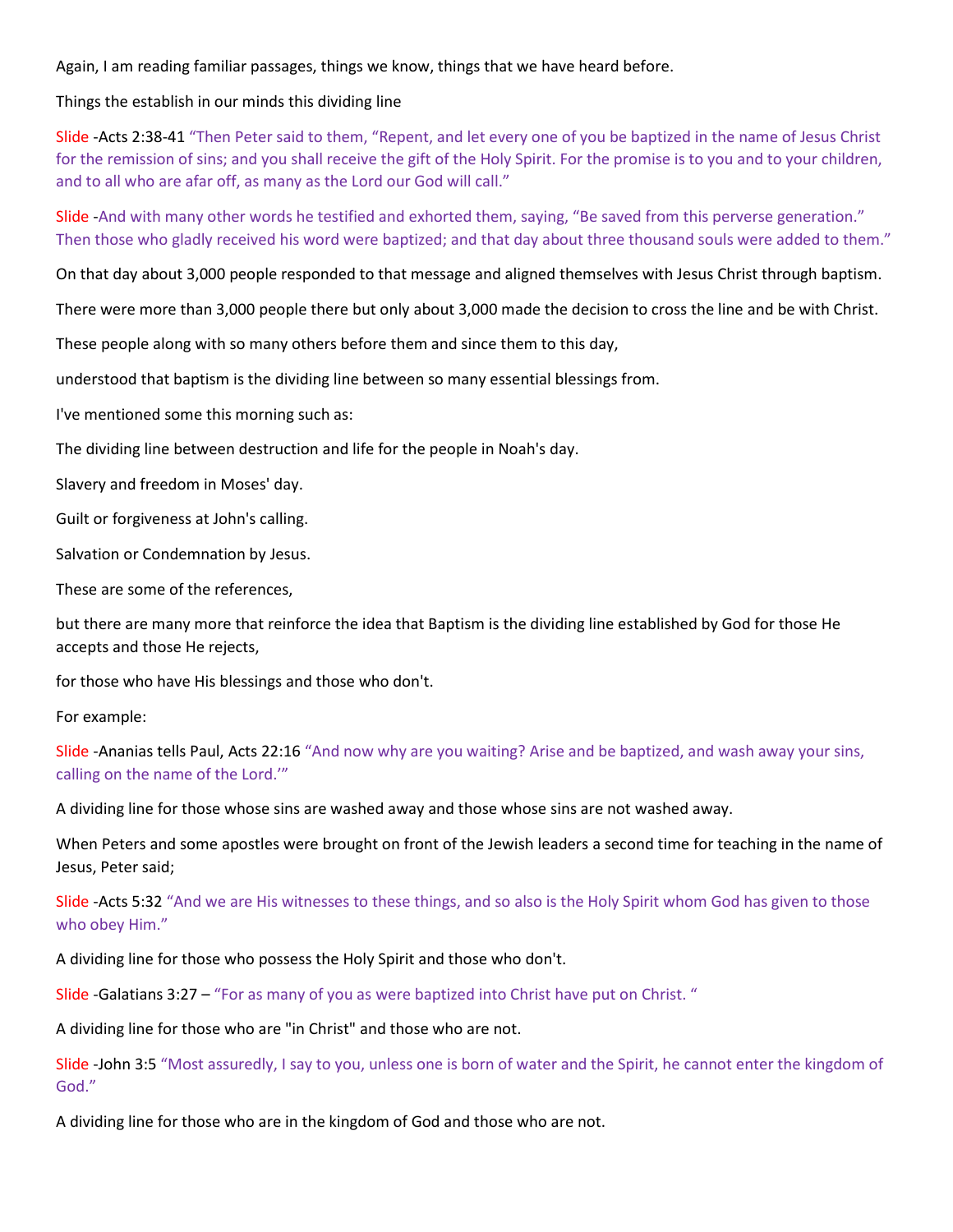Again, I am reading familiar passages, things we know, things that we have heard before.

Things the establish in our minds this dividing line

Slide -Acts 2:38-41 "Then Peter said to them, "Repent, and let every one of you be baptized in the name of Jesus Christ for the remission of sins; and you shall receive the gift of the Holy Spirit. For the promise is to you and to your children, and to all who are afar off, as many as the Lord our God will call."

Slide -And with many other words he testified and exhorted them, saying, "Be saved from this perverse generation." Then those who gladly received his word were baptized; and that day about three thousand souls were added to them."

On that day about 3,000 people responded to that message and aligned themselves with Jesus Christ through baptism.

There were more than 3,000 people there but only about 3,000 made the decision to cross the line and be with Christ.

These people along with so many others before them and since them to this day,

understood that baptism is the dividing line between so many essential blessings from.

I've mentioned some this morning such as:

The dividing line between destruction and life for the people in Noah's day.

Slavery and freedom in Moses' day.

Guilt or forgiveness at John's calling.

Salvation or Condemnation by Jesus.

These are some of the references,

but there are many more that reinforce the idea that Baptism is the dividing line established by God for those He accepts and those He rejects,

for those who have His blessings and those who don't.

For example:

Slide -Ananias tells Paul, Acts 22:16 "And now why are you waiting? Arise and be baptized, and wash away your sins, calling on the name of the Lord.'"

A dividing line for those whose sins are washed away and those whose sins are not washed away.

When Peters and some apostles were brought on front of the Jewish leaders a second time for teaching in the name of Jesus, Peter said;

Slide -Acts 5:32 "And we are His witnesses to these things, and so also is the Holy Spirit whom God has given to those who obey Him."

A dividing line for those who possess the Holy Spirit and those who don't.

Slide -Galatians 3:27 – "For as many of you as were baptized into Christ have put on Christ. "

A dividing line for those who are "in Christ" and those who are not.

Slide -John 3:5 "Most assuredly, I say to you, unless one is born of water and the Spirit, he cannot enter the kingdom of God."

A dividing line for those who are in the kingdom of God and those who are not.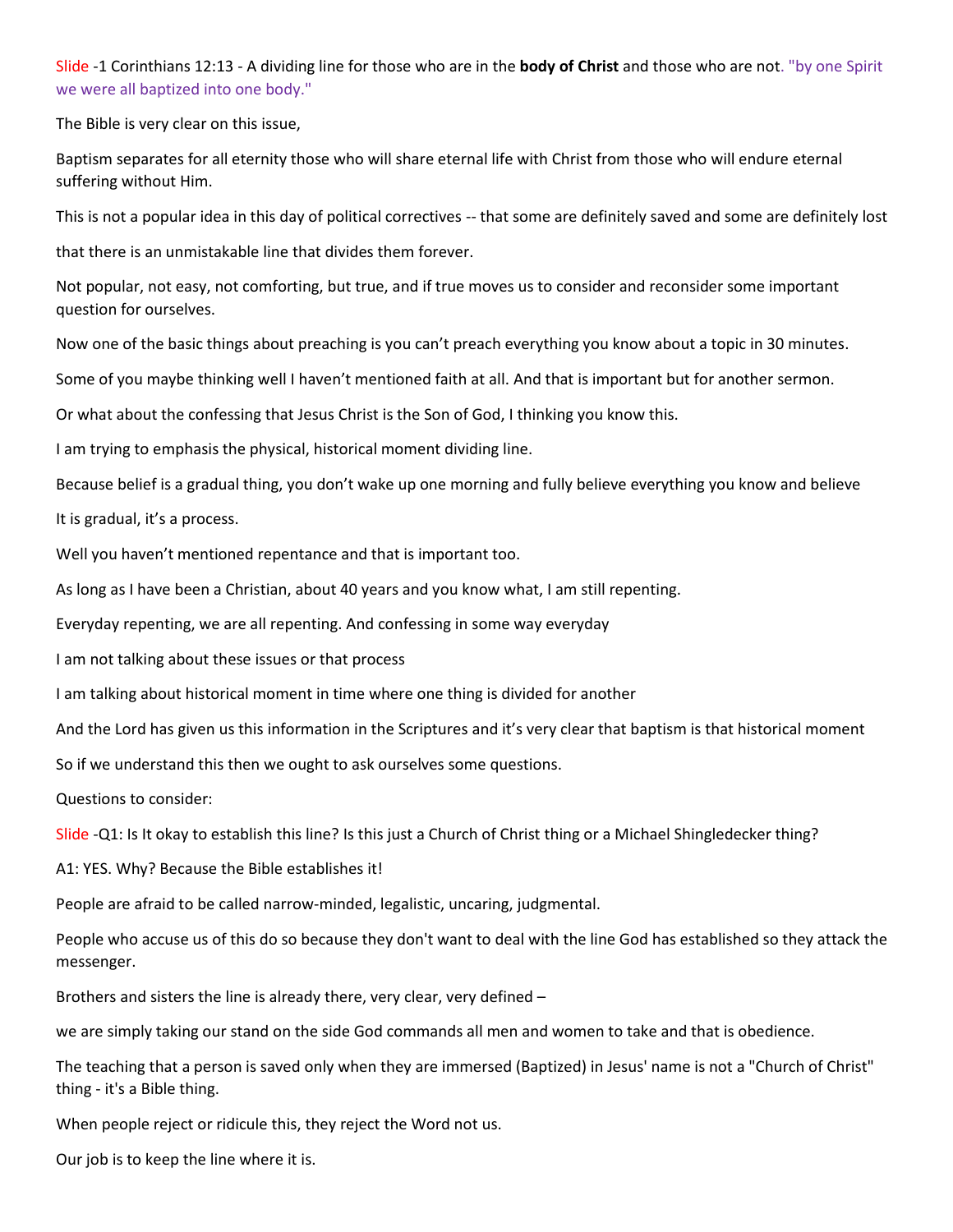Slide -1 Corinthians 12:13 - A dividing line for those who are in the **body of Christ** and those who are not. "by one Spirit we were all baptized into one body."

The Bible is very clear on this issue,

Baptism separates for all eternity those who will share eternal life with Christ from those who will endure eternal suffering without Him.

This is not a popular idea in this day of political correctives -- that some are definitely saved and some are definitely lost

that there is an unmistakable line that divides them forever.

Not popular, not easy, not comforting, but true, and if true moves us to consider and reconsider some important question for ourselves.

Now one of the basic things about preaching is you can't preach everything you know about a topic in 30 minutes.

Some of you maybe thinking well I haven't mentioned faith at all. And that is important but for another sermon.

Or what about the confessing that Jesus Christ is the Son of God, I thinking you know this.

I am trying to emphasis the physical, historical moment dividing line.

Because belief is a gradual thing, you don't wake up one morning and fully believe everything you know and believe

It is gradual, it's a process.

Well you haven't mentioned repentance and that is important too.

As long as I have been a Christian, about 40 years and you know what, I am still repenting.

Everyday repenting, we are all repenting. And confessing in some way everyday

I am not talking about these issues or that process

I am talking about historical moment in time where one thing is divided for another

And the Lord has given us this information in the Scriptures and it's very clear that baptism is that historical moment

So if we understand this then we ought to ask ourselves some questions.

Questions to consider:

Slide -Q1: Is It okay to establish this line? Is this just a Church of Christ thing or a Michael Shingledecker thing?

A1: YES. Why? Because the Bible establishes it!

People are afraid to be called narrow-minded, legalistic, uncaring, judgmental.

People who accuse us of this do so because they don't want to deal with the line God has established so they attack the messenger.

Brothers and sisters the line is already there, very clear, very defined –

we are simply taking our stand on the side God commands all men and women to take and that is obedience.

The teaching that a person is saved only when they are immersed (Baptized) in Jesus' name is not a "Church of Christ" thing - it's a Bible thing.

When people reject or ridicule this, they reject the Word not us.

Our job is to keep the line where it is.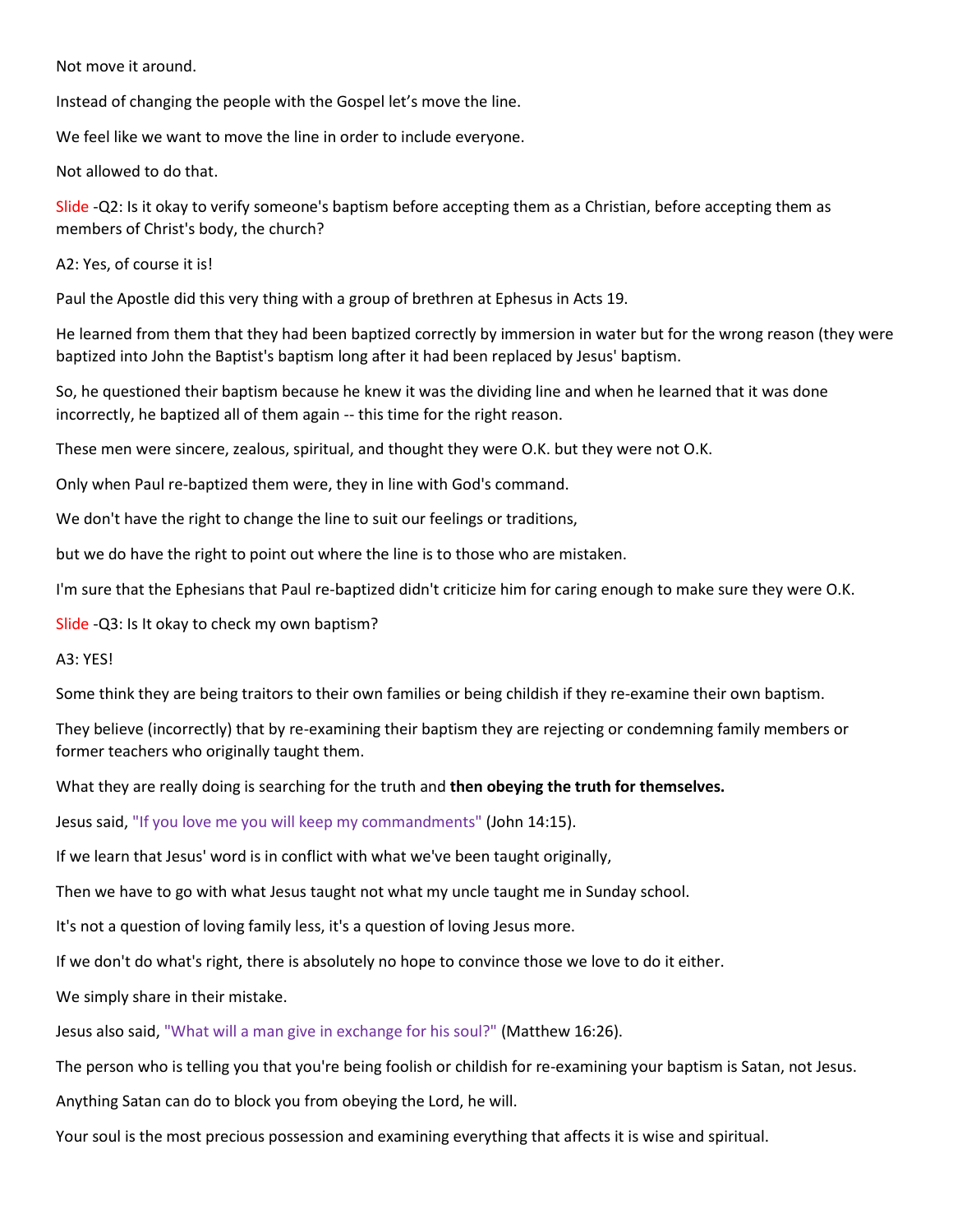Not move it around.

Instead of changing the people with the Gospel let's move the line.

We feel like we want to move the line in order to include everyone.

Not allowed to do that.

Slide -Q2: Is it okay to verify someone's baptism before accepting them as a Christian, before accepting them as members of Christ's body, the church?

A2: Yes, of course it is!

Paul the Apostle did this very thing with a group of brethren at Ephesus in Acts 19.

He learned from them that they had been baptized correctly by immersion in water but for the wrong reason (they were baptized into John the Baptist's baptism long after it had been replaced by Jesus' baptism.

So, he questioned their baptism because he knew it was the dividing line and when he learned that it was done incorrectly, he baptized all of them again -- this time for the right reason.

These men were sincere, zealous, spiritual, and thought they were O.K. but they were not O.K.

Only when Paul re-baptized them were, they in line with God's command.

We don't have the right to change the line to suit our feelings or traditions,

but we do have the right to point out where the line is to those who are mistaken.

I'm sure that the Ephesians that Paul re-baptized didn't criticize him for caring enough to make sure they were O.K.

Slide -Q3: Is It okay to check my own baptism?

A3: YES!

Some think they are being traitors to their own families or being childish if they re-examine their own baptism.

They believe (incorrectly) that by re-examining their baptism they are rejecting or condemning family members or former teachers who originally taught them.

What they are really doing is searching for the truth and **then obeying the truth for themselves.**

Jesus said, "If you love me you will keep my commandments" (John 14:15).

If we learn that Jesus' word is in conflict with what we've been taught originally,

Then we have to go with what Jesus taught not what my uncle taught me in Sunday school.

It's not a question of loving family less, it's a question of loving Jesus more.

If we don't do what's right, there is absolutely no hope to convince those we love to do it either.

We simply share in their mistake.

Jesus also said, "What will a man give in exchange for his soul?" (Matthew 16:26).

The person who is telling you that you're being foolish or childish for re-examining your baptism is Satan, not Jesus.

Anything Satan can do to block you from obeying the Lord, he will.

Your soul is the most precious possession and examining everything that affects it is wise and spiritual.